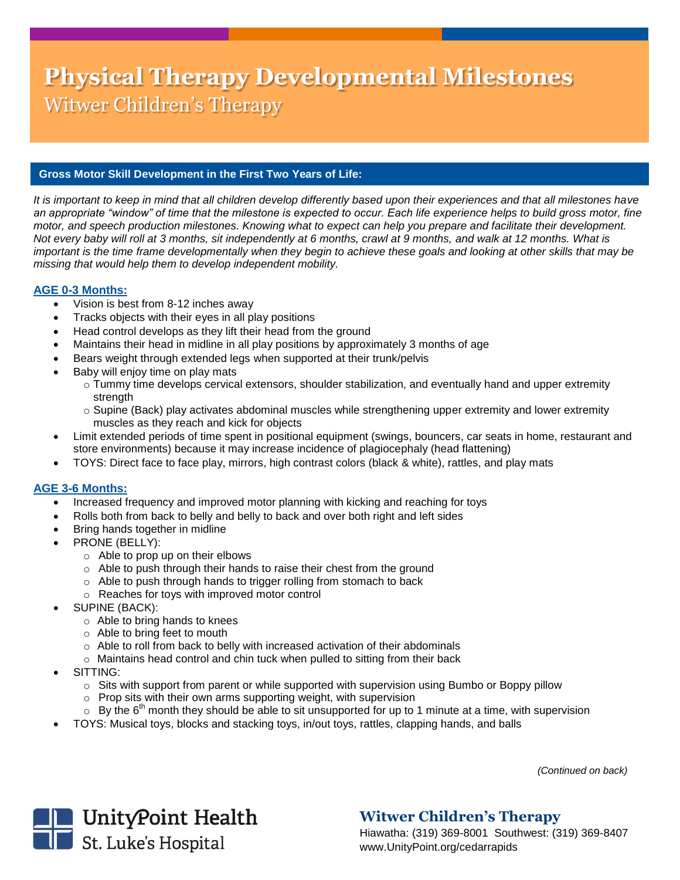# **Physical Therapy Developmental Milestones** Witwer Children's Therapy

#### **Gross Motor Skill Development in the First Two Years of Life:**

*It is important to keep in mind that all children develop differently based upon their experiences and that all milestones have*  an appropriate "window" of time that the milestone is expected to occur. Each life experience helps to build gross motor, fine *motor, and speech production milestones. Knowing what to expect can help you prepare and facilitate their development. Not every baby will roll at 3 months, sit independently at 6 months, crawl at 9 months, and walk at 12 months. What is*  important is the time frame developmentally when they begin to achieve these goals and looking at other skills that may be *missing that would help them to develop independent mobility.*

#### **AGE 0-3 Months:**

- Vision is best from 8-12 inches away
- Tracks objects with their eyes in all play positions
- Head control develops as they lift their head from the ground
- Maintains their head in midline in all play positions by approximately 3 months of age
- Bears weight through extended legs when supported at their trunk/pelvis
- Baby will enjoy time on play mats
	- $\circ$  Tummy time develops cervical extensors, shoulder stabilization, and eventually hand and upper extremity strength
	- $\circ$  Supine (Back) play activates abdominal muscles while strengthening upper extremity and lower extremity muscles as they reach and kick for objects
- Limit extended periods of time spent in positional equipment (swings, bouncers, car seats in home, restaurant and store environments) because it may increase incidence of plagiocephaly (head flattening)
- TOYS: Direct face to face play, mirrors, high contrast colors (black & white), rattles, and play mats

#### **AGE 3-6 Months:**

- Increased frequency and improved motor planning with kicking and reaching for toys
- Rolls both from back to belly and belly to back and over both right and left sides
- Bring hands together in midline
- PRONE (BELLY):
	- o Able to prop up on their elbows
	- o Able to push through their hands to raise their chest from the ground
	- o Able to push through hands to trigger rolling from stomach to back
	- o Reaches for toys with improved motor control
- SUPINE (BACK):
	- o Able to bring hands to knees
	- o Able to bring feet to mouth
	- o Able to roll from back to belly with increased activation of their abdominals
	- o Maintains head control and chin tuck when pulled to sitting from their back
- SITTING:
	- $\circ$  Sits with support from parent or while supported with supervision using Bumbo or Boppy pillow
	- $\circ$  Prop sits with their own arms supporting weight, with supervision
	- $\circ$  By the 6<sup>th</sup> month they should be able to sit unsupported for up to 1 minute at a time, with supervision
- TOYS: Musical toys, blocks and stacking toys, in/out toys, rattles, clapping hands, and balls

 *(Continued on back)*



## **Witwer Children's Therapy**

Hiawatha: (319) 369-8001 Southwest: (319) 369-8407 www.UnityPoint.org/cedarrapids